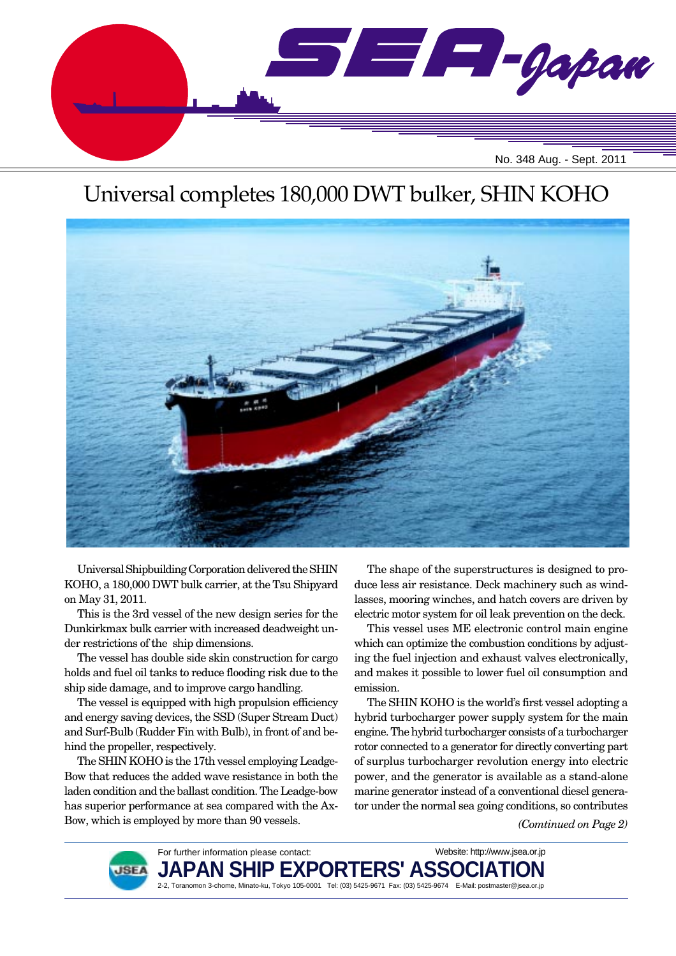

# Universal completes 180,000 DWT bulker, SHIN KOHO



Universal Shipbuilding Corporation delivered the SHIN KOHO, a 180,000 DWT bulk carrier, at the Tsu Shipyard on May 31, 2011.

This is the 3rd vessel of the new design series for the Dunkirkmax bulk carrier with increased deadweight under restrictions of the ship dimensions.

The vessel has double side skin construction for cargo holds and fuel oil tanks to reduce flooding risk due to the ship side damage, and to improve cargo handling.

The vessel is equipped with high propulsion efficiency and energy saving devices, the SSD (Super Stream Duct) and Surf-Bulb (Rudder Fin with Bulb), in front of and behind the propeller, respectively.

The SHIN KOHO is the 17th vessel employing Leadge-Bow that reduces the added wave resistance in both the laden condition and the ballast condition. The Leadge-bow has superior performance at sea compared with the Ax-Bow, which is employed by more than 90 vessels.

The shape of the superstructures is designed to produce less air resistance. Deck machinery such as windlasses, mooring winches, and hatch covers are driven by electric motor system for oil leak prevention on the deck.

This vessel uses ME electronic control main engine which can optimize the combustion conditions by adjusting the fuel injection and exhaust valves electronically, and makes it possible to lower fuel oil consumption and emission.

The SHIN KOHO is the world's first vessel adopting a hybrid turbocharger power supply system for the main engine. The hybrid turbocharger consists of a turbocharger rotor connected to a generator for directly converting part of surplus turbocharger revolution energy into electric power, and the generator is available as a stand-alone marine generator instead of a conventional diesel generator under the normal sea going conditions, so contributes

*(Comtinued on Page 2)*



For further information please contact: JAPAN SHIP EXPORTERS' ASSO 2-2, Toranomon 3-chome, Minato-ku, Tokyo 105-0001 Tel: (03) 5425-9671 Fax: (03) 5425-9674 E-Mail: postmaster@jsea.or.jp Website: http://www.jsea.or.jp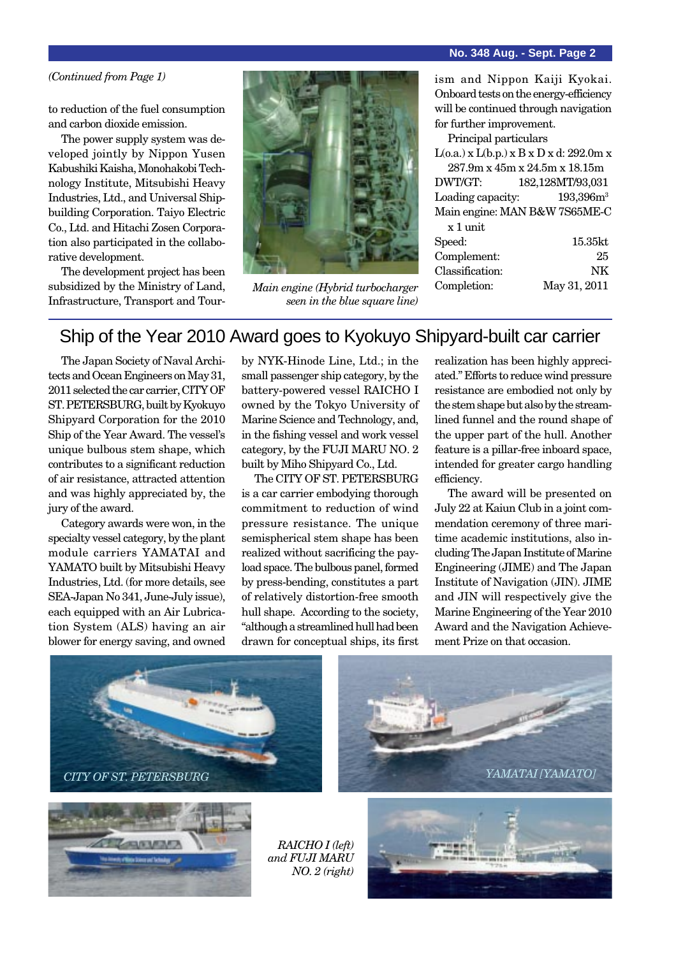### **No. 348 Aug. - Sept. Page 2**

### *(Continued from Page 1)*

to reduction of the fuel consumption and carbon dioxide emission.

The power supply system was developed jointly by Nippon Yusen Kabushiki Kaisha, Monohakobi Technology Institute, Mitsubishi Heavy Industries, Ltd., and Universal Shipbuilding Corporation. Taiyo Electric Co., Ltd. and Hitachi Zosen Corporation also participated in the collaborative development.

The development project has been subsidized by the Ministry of Land, Infrastructure, Transport and Tour-



*Main engine (Hybrid turbocharger seen in the blue square line)*

ism and Nippon Kaiji Kyokai. Onboard tests on the energy-efficiency will be continued through navigation for further improvement.

Principal particulars

 $L(o.a.)$  x  $L(b.p.)$  x  $B$  x  $D$  x  $d: 292.0$ m x 287.9m x 45m x 24.5m x 18.15m DWT/GT: 182,128MT/93,031 Loading capacity: 193,396m<sup>3</sup> Main engine: MAN B&W 7S65ME-C x 1 unit

| Speed:          | $15.35$ kt   |
|-----------------|--------------|
| Complement:     | 25           |
| Classification: | NK           |
| Completion:     | May 31, 2011 |
|                 |              |

### Ship of the Year 2010 Award goes to Kyokuyo Shipyard-built car carrier

The Japan Society of Naval Architects and Ocean Engineers on May 31, 2011 selected the car carrier, CITY OF ST. PETERSBURG, built by Kyokuyo Shipyard Corporation for the 2010 Ship of the Year Award. The vessel's unique bulbous stem shape, which contributes to a significant reduction of air resistance, attracted attention and was highly appreciated by, the jury of the award.

Category awards were won, in the specialty vessel category, by the plant module carriers YAMATAI and YAMATO built by Mitsubishi Heavy Industries, Ltd. (for more details, see SEA-Japan No 341, June-July issue), each equipped with an Air Lubrication System (ALS) having an air blower for energy saving, and owned

by NYK-Hinode Line, Ltd.; in the small passenger ship category, by the battery-powered vessel RAICHO I owned by the Tokyo University of Marine Science and Technology, and, in the fishing vessel and work vessel category, by the FUJI MARU NO. 2 built by Miho Shipyard Co., Ltd.

The CITY OF ST. PETERSBURG is a car carrier embodying thorough commitment to reduction of wind pressure resistance. The unique semispherical stem shape has been realized without sacrificing the payload space. The bulbous panel, formed by press-bending, constitutes a part of relatively distortion-free smooth hull shape. According to the society, "although a streamlined hull had been drawn for conceptual ships, its first

realization has been highly appreciated." Efforts to reduce wind pressure resistance are embodied not only by the stem shape but also by the streamlined funnel and the round shape of the upper part of the hull. Another feature is a pillar-free inboard space, intended for greater cargo handling efficiency.

The award will be presented on July 22 at Kaiun Club in a joint commendation ceremony of three maritime academic institutions, also including The Japan Institute of Marine Engineering (JIME) and The Japan Institute of Navigation (JIN). JIME and JIN will respectively give the Marine Engineering of the Year 2010 Award and the Navigation Achievement Prize on that occasion.







*RAICHO I (left) and FUJI MARU NO. 2 (right)*

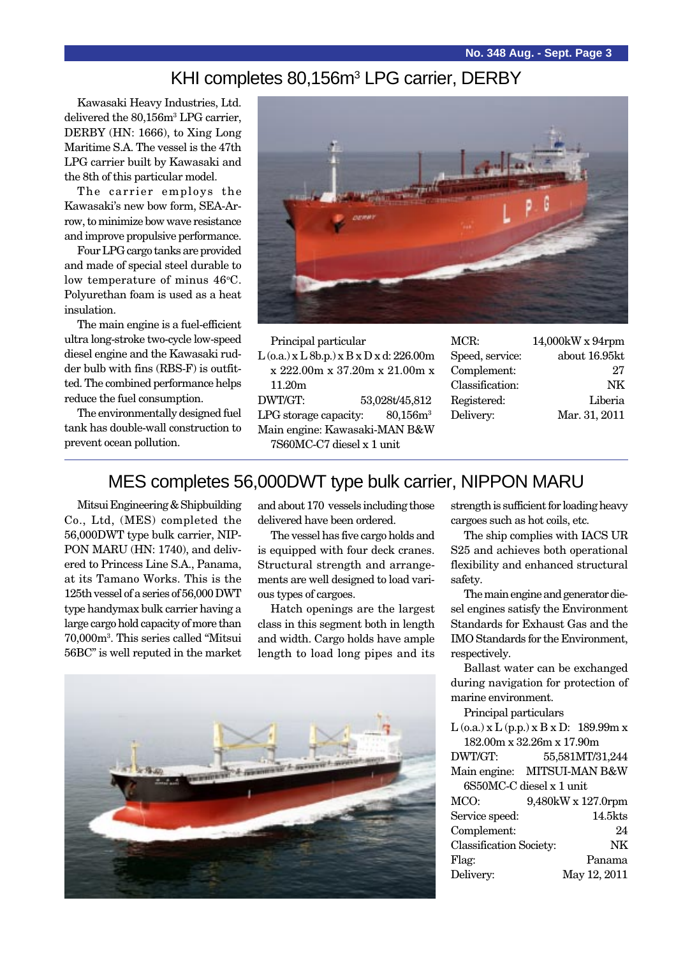### KHI completes 80,156m<sup>3</sup> LPG carrier, DERBY

Kawasaki Heavy Industries, Ltd. delivered the 80,156m<sup>3</sup> LPG carrier, DERBY (HN: 1666), to Xing Long Maritime S.A. The vessel is the 47th LPG carrier built by Kawasaki and the 8th of this particular model.

The carrier employs the Kawasaki's new bow form, SEA-Arrow, to minimize bow wave resistance and improve propulsive performance.

Four LPG cargo tanks are provided and made of special steel durable to low temperature of minus 46°C. Polyurethan foam is used as a heat insulation.

The main engine is a fuel-efficient ultra long-stroke two-cycle low-speed diesel engine and the Kawasaki rudder bulb with fins (RBS-F) is outfitted. The combined performance helps reduce the fuel consumption.

The environmentally designed fuel tank has double-wall construction to prevent ocean pollution.



Principal particular  $L$  (o.a.) x  $L$  8b.p.) x  $B$  x  $D$  x d: 226.00m x 222.00m x 37.20m x 21.00m x 11.20m DWT/GT: 53,028t/45,812 LPG storage capacity:  $80,156m<sup>3</sup>$ Main engine: Kawasaki-MAN B&W 7S60MC-C7 diesel x 1 unit MCR: 14,000kW x 94rpm Speed, service: about 16.95kt Complement: 27 Classification: NK Registered: Liberia Delivery: Mar. 31, 2011

### MES completes 56,000DWT type bulk carrier, NIPPON MARU

Mitsui Engineering & Shipbuilding Co., Ltd, (MES) completed the 56,000DWT type bulk carrier, NIP-PON MARU (HN: 1740), and delivered to Princess Line S.A., Panama, at its Tamano Works. This is the 125th vessel of a series of 56,000 DWT type handymax bulk carrier having a large cargo hold capacity of more than 70,000m3 . This series called "Mitsui 56BC" is well reputed in the market and about 170 vessels including those delivered have been ordered.

The vessel has five cargo holds and is equipped with four deck cranes. Structural strength and arrangements are well designed to load various types of cargoes.

Hatch openings are the largest class in this segment both in length and width. Cargo holds have ample length to load long pipes and its



strength is sufficient for loading heavy cargoes such as hot coils, etc.

The ship complies with IACS UR S25 and achieves both operational flexibility and enhanced structural safety.

The main engine and generator diesel engines satisfy the Environment Standards for Exhaust Gas and the IMO Standards for the Environment, respectively.

Ballast water can be exchanged during navigation for protection of marine environment.

| Principal particulars                           |                             |  |  |  |
|-------------------------------------------------|-----------------------------|--|--|--|
| $L$ (o.a.) x $L$ (p.p.) x $B$ x $D$ : 189.99m x |                             |  |  |  |
| 182.00m x 32.26m x 17.90m                       |                             |  |  |  |
| DWT/GT:                                         | 55,581MT/31,244             |  |  |  |
|                                                 | Main engine: MITSUI-MAN B&W |  |  |  |
| 6S50MC-C diesel x 1 unit                        |                             |  |  |  |
| MCO:                                            | 9,480kW x 127.0rpm          |  |  |  |
| Service speed:                                  | $14.5$ kts                  |  |  |  |
| Complement:                                     | 94                          |  |  |  |
| <b>Classification Society:</b>                  | NK                          |  |  |  |
| Flag:                                           | Panama                      |  |  |  |
| Delivery:                                       | May 12, 2011                |  |  |  |
|                                                 |                             |  |  |  |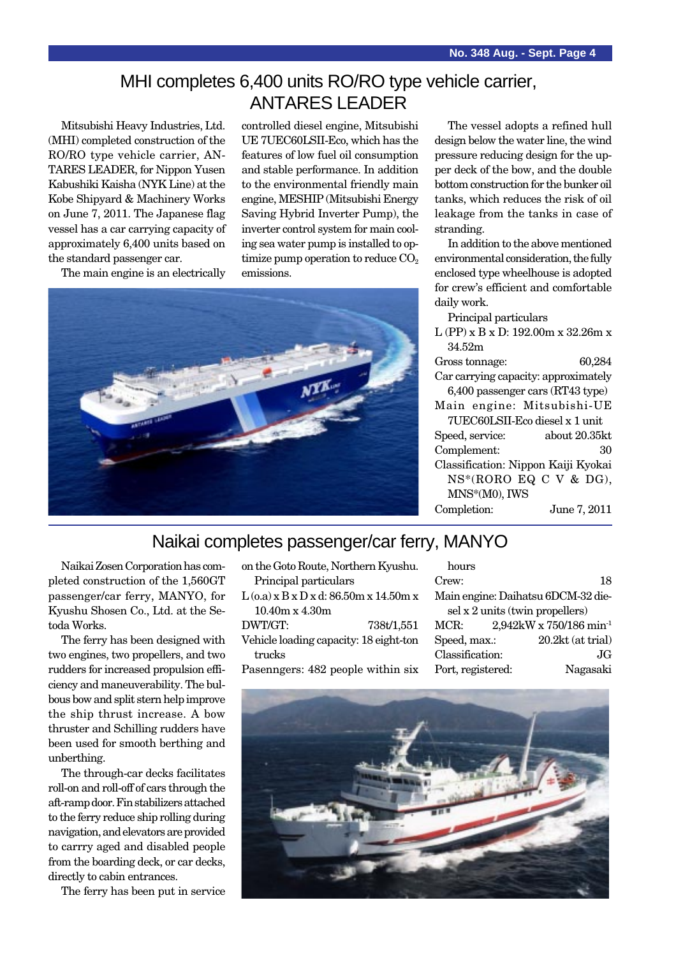### MHI completes 6,400 units RO/RO type vehicle carrier, ANTARES LEADER

Mitsubishi Heavy Industries, Ltd. (MHI) completed construction of the RO/RO type vehicle carrier, AN-TARES LEADER, for Nippon Yusen Kabushiki Kaisha (NYK Line) at the Kobe Shipyard & Machinery Works on June 7, 2011. The Japanese flag vessel has a car carrying capacity of approximately 6,400 units based on the standard passenger car.

controlled diesel engine, Mitsubishi UE 7UEC60LSII-Eco, which has the features of low fuel oil consumption and stable performance. In addition to the environmental friendly main engine, MESHIP (Mitsubishi Energy Saving Hybrid Inverter Pump), the inverter control system for main cooling sea water pump is installed to optimize pump operation to reduce  $CO<sub>2</sub>$ emissions.



The vessel adopts a refined hull design below the water line, the wind pressure reducing design for the upper deck of the bow, and the double bottom construction for the bunker oil tanks, which reduces the risk of oil leakage from the tanks in case of stranding.

In addition to the above mentioned environmental consideration, the fully enclosed type wheelhouse is adopted for crew's efficient and comfortable daily work.

Principal particulars

L (PP) x B x D: 192.00m x 32.26m x 34.52m

| Gross tonnage:                       | 60,284 |
|--------------------------------------|--------|
| Car carrying capacity: approximately |        |
| 6,400 passenger cars (RT43 type)     |        |

|                                | Main engine: Mitsubishi-UE |  |  |  |
|--------------------------------|----------------------------|--|--|--|
| 7UEC60LSII-Eco diesel x 1 unit |                            |  |  |  |
| Speed, service:                | about 20.35kt              |  |  |  |

Complement: 30 Classification: Nippon Kaiji Kyokai NS\*(RORO EQ C V & DG), MNS\*(M0), IWS

### Completion: June 7, 2011

### Naikai completes passenger/car ferry, MANYO

Naikai Zosen Corporation has completed construction of the 1,560GT passenger/car ferry, MANYO, for Kyushu Shosen Co., Ltd. at the Setoda Works.

The ferry has been designed with two engines, two propellers, and two rudders for increased propulsion efficiency and maneuverability. The bulbous bow and split stern help improve the ship thrust increase. A bow thruster and Schilling rudders have been used for smooth berthing and unberthing.

The through-car decks facilitates roll-on and roll-off of cars through the aft-ramp door. Fin stabilizers attached to the ferry reduce ship rolling during navigation, and elevators are provided to carrry aged and disabled people from the boarding deck, or car decks, directly to cabin entrances.

The ferry has been put in service

| on the Goto Route, Northern Kyushu.      |  |  |
|------------------------------------------|--|--|
| Principal particulars                    |  |  |
| $L$ (0.a) x B x D x d: 86.50m x 14.50m x |  |  |
| $10.40m \times 4.30m$                    |  |  |
| DWT/GT:<br>738t/1,551                    |  |  |
| Vehicle loading capacity: 18 eight-ton   |  |  |
| trucks                                   |  |  |
| Pasenngers: 482 people within six        |  |  |

hours Crew: 18 Main engine: Daihatsu 6DCM-32 diesel x 2 units (twin propellers) MCR: 2,942kW x 750/186 min-1 Speed, max.: 20.2kt (at trial) Classification: JG Port, registered: Nagasaki

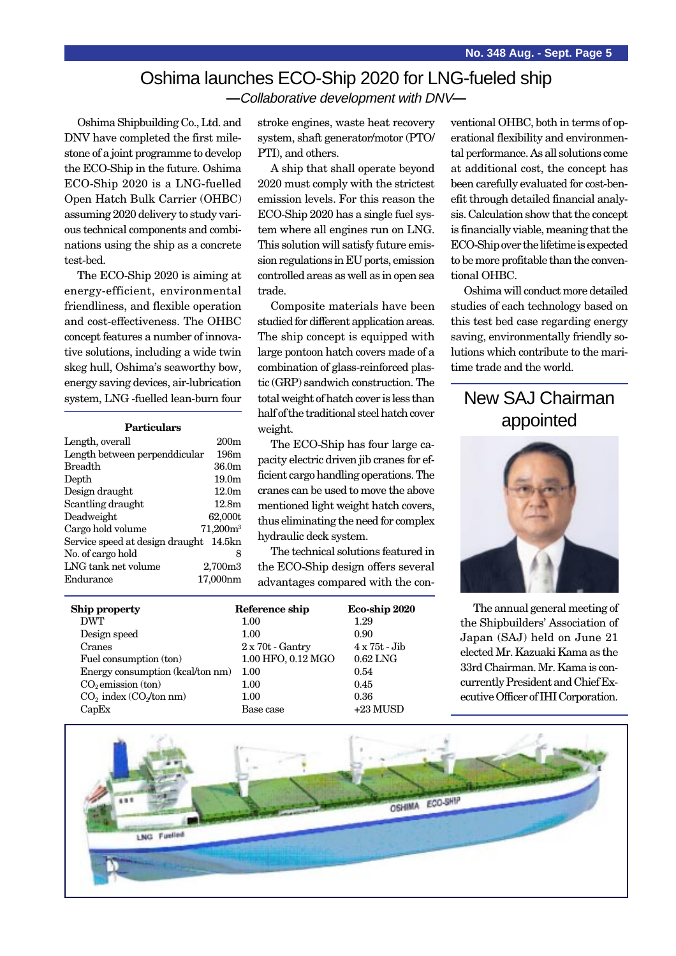### Oshima launches ECO-Ship 2020 for LNG-fueled ship **—**Collaborative development with DNV**—**

Oshima Shipbuilding Co., Ltd. and DNV have completed the first milestone of a joint programme to develop the ECO-Ship in the future. Oshima ECO-Ship 2020 is a LNG-fuelled Open Hatch Bulk Carrier (OHBC) assuming 2020 delivery to study various technical components and combinations using the ship as a concrete test-bed.

The ECO-Ship 2020 is aiming at energy-efficient, environmental friendliness, and flexible operation and cost-effectiveness. The OHBC concept features a number of innovative solutions, including a wide twin skeg hull, Oshima's seaworthy bow, energy saving devices, air-lubrication system, LNG -fuelled lean-burn four

| Length, overall                        | 200 <sub>m</sub>  |
|----------------------------------------|-------------------|
| Length between perpenddicular          | 196m              |
| <b>Breadth</b>                         | 36.0 <sub>m</sub> |
| Depth                                  | 19.0 <sub>m</sub> |
| Design draught                         | 12.0 <sub>m</sub> |
| Scantling draught                      | 12.8m             |
| Deadweight                             | 62,000t           |
| Cargo hold volume                      | $71,200m^3$       |
| Service speed at design draught 14.5kn |                   |
| No. of cargo hold                      | 8                 |
| LNG tank net volume                    | 2,700m3           |
| Endurance                              | 17.000nm          |

stroke engines, waste heat recovery system, shaft generator/motor (PTO/ PTI), and others.

A ship that shall operate beyond 2020 must comply with the strictest emission levels. For this reason the ECO-Ship 2020 has a single fuel system where all engines run on LNG. This solution will satisfy future emission regulations in EU ports, emission controlled areas as well as in open sea trade.

Composite materials have been studied for different application areas. The ship concept is equipped with large pontoon hatch covers made of a combination of glass-reinforced plastic (GRP) sandwich construction. The total weight of hatch cover is less than half of the traditional steel hatch cover weight. **Particulars** appointed **Particulars** appointed **Particulars** appointed

> The ECO-Ship has four large capacity electric driven jib cranes for efficient cargo handling operations. The cranes can be used to move the above mentioned light weight hatch covers, thus eliminating the need for complex hydraulic deck system.

The technical solutions featured in the ECO-Ship design offers several advantages compared with the con-

| <b>Ship property</b>             | Reference ship          | Eco-ship 2020        |
|----------------------------------|-------------------------|----------------------|
| <b>DWT</b>                       | 1.00                    | 1.29                 |
| Design speed                     | 1.00                    | 0.90                 |
| Cranes                           | $2 \times 70t$ - Gantry | $4 \times 75t$ - Jib |
| Fuel consumption (ton)           | 1.00 HFO, 0.12 MGO      | $0.62$ LNG           |
| Energy consumption (kcal/ton nm) | 1.00                    | 0.54                 |
| $CO2$ emission (ton)             | 1.00                    | 0.45                 |
| $CO2$ index $(CO2/ton nm)$       | 1.00                    | 0.36                 |
| CapEx                            | Base case               | $+23$ MUSD           |

ventional OHBC, both in terms of operational flexibility and environmental performance. As all solutions come at additional cost, the concept has been carefully evaluated for cost-benefit through detailed financial analysis. Calculation show that the concept is financially viable, meaning that the ECO-Ship over the lifetime is expected to be more profitable than the conventional OHBC.

Oshima will conduct more detailed studies of each technology based on this test bed case regarding energy saving, environmentally friendly solutions which contribute to the maritime trade and the world.

# New SAJ Chairman



The annual general meeting of the Shipbuilders' Association of Japan (SAJ) held on June 21 elected Mr. Kazuaki Kama as the 33rd Chairman. Mr. Kama is concurrently President and Chief Executive Officer of IHI Corporation.